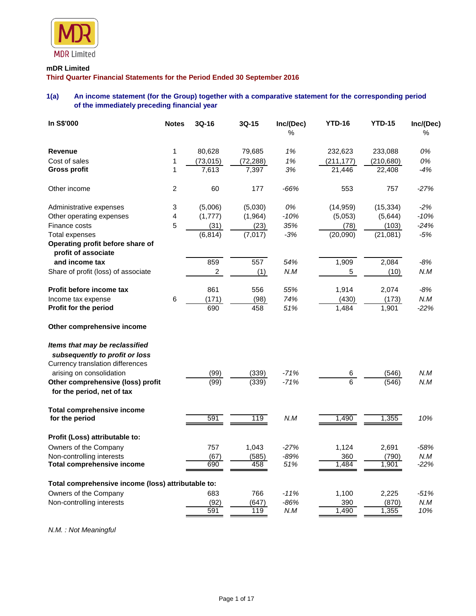

# **mDR Limited**

**Third Quarter Financial Statements for the Period Ended 30 September 2016**

# **1(a) An income statement (for the Group) together with a comparative statement for the corresponding period of the immediately preceding financial year**

| In S\$'000                                                                                           | <b>Notes</b>   | 3Q-16          | 3Q-15     | Inc/(Dec)<br>% | <b>YTD-16</b>  | <b>YTD-15</b> | Inc/(Dec)<br>% |
|------------------------------------------------------------------------------------------------------|----------------|----------------|-----------|----------------|----------------|---------------|----------------|
| <b>Revenue</b>                                                                                       | 1              | 80,628         | 79,685    | 1%             | 232,623        | 233,088       | 0%             |
| Cost of sales                                                                                        | 1              | (73, 015)      | (72, 288) | 1%             | (211, 177)     | (210, 680)    | 0%             |
| <b>Gross profit</b>                                                                                  | $\mathbf{1}$   | 7,613          | 7,397     | 3%             | 21,446         | 22,408        | $-4%$          |
| Other income                                                                                         | $\overline{c}$ | 60             | 177       | -66%           | 553            | 757           | $-27%$         |
| Administrative expenses                                                                              | 3              | (5,006)        | (5,030)   | 0%             | (14, 959)      | (15, 334)     | $-2%$          |
| Other operating expenses                                                                             | 4              | (1,777)        | (1, 964)  | $-10%$         | (5,053)        | (5,644)       | $-10%$         |
| Finance costs                                                                                        | 5              | (31)           | (23)      | 35%            | (78)           | (103)         | $-24%$         |
| <b>Total expenses</b>                                                                                |                | (6, 814)       | (7,017)   | $-3%$          | (20,090)       | (21,081)      | $-5%$          |
| Operating profit before share of<br>profit of associate                                              |                |                |           |                |                |               |                |
| and income tax                                                                                       |                | 859            | 557       | 54%            | 1,909          | 2,084         | -8%            |
| Share of profit (loss) of associate                                                                  |                | $\overline{c}$ | (1)       | N.M            | 5              | (10)          | N.M            |
| Profit before income tax                                                                             |                | 861            | 556       | 55%            | 1,914          | 2,074         | $-8%$          |
| Income tax expense                                                                                   | 6              | (171)          | (98)      | 74%            | (430)          | (173)         | N.M            |
| Profit for the period                                                                                |                | 690            | 458       | 51%            | 1,484          | 1,901         | $-22%$         |
| Other comprehensive income                                                                           |                |                |           |                |                |               |                |
| Items that may be reclassified<br>subsequently to profit or loss<br>Currency translation differences |                |                |           |                |                |               |                |
| arising on consolidation                                                                             |                | (99)           | (339)     | $-71%$         | 6              | (546)         | N.M            |
| Other comprehensive (loss) profit<br>for the period, net of tax                                      |                | (99)           | (339)     | $-71%$         | $\overline{6}$ | (546)         | N.M            |
| <b>Total comprehensive income</b><br>for the period                                                  |                | 591            | 119       | N.M            | 1,490          | 1,355         | 10%            |
| Profit (Loss) attributable to:                                                                       |                |                |           |                |                |               |                |
| Owners of the Company                                                                                |                | 757            | 1,043     | $-27%$         | 1,124          | 2,691         | $-58%$         |
| Non-controlling interests                                                                            |                | (67)           | (585)     | $-89%$         | 360            | (790)         | N.M            |
| <b>Total comprehensive income</b>                                                                    |                | 690            | 458       | 51%            | 1,484          | 1,901         | $-22%$         |
| Total comprehensive income (loss) attributable to:                                                   |                |                |           |                |                |               |                |
| Owners of the Company                                                                                |                | 683            | 766       | $-11%$         | 1,100          | 2,225         | $-51%$         |
| Non-controlling interests                                                                            |                | (92)           | (647)     | -86%           | 390            | (870)         | N.M            |
|                                                                                                      |                | 591            | 119       | N.M            | 1,490          | 1,355         | 10%            |

*N.M. : Not Meaningful*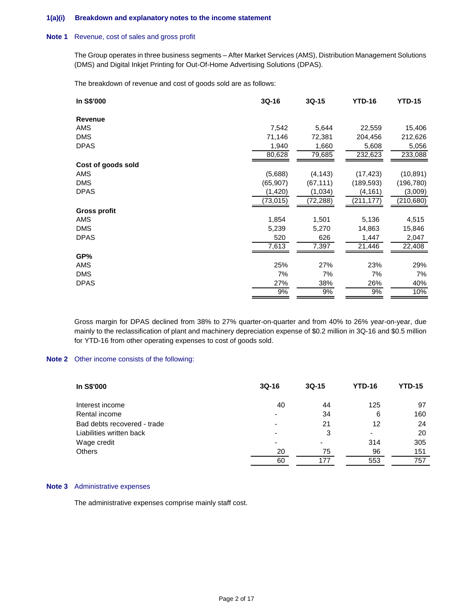#### **1(a)(i) Breakdown and explanatory notes to the income statement**

#### **Note 1** Revenue, cost of sales and gross profit

The Group operates in three business segments – After Market Services (AMS), Distribution Management Solutions (DMS) and Digital Inkjet Printing for Out-Of-Home Advertising Solutions (DPAS).

The breakdown of revenue and cost of goods sold are as follows:

| In S\$'000          | $3Q-16$   | $3Q-15$   | <b>YTD-16</b> | <b>YTD-15</b> |
|---------------------|-----------|-----------|---------------|---------------|
| Revenue             |           |           |               |               |
| AMS                 | 7,542     | 5,644     | 22,559        | 15,406        |
| <b>DMS</b>          | 71,146    | 72,381    | 204,456       | 212,626       |
| <b>DPAS</b>         | 1,940     | 1,660     | 5,608         | 5,056         |
|                     | 80,628    | 79,685    | 232,623       | 233,088       |
| Cost of goods sold  |           |           |               |               |
| AMS                 | (5,688)   | (4, 143)  | (17, 423)     | (10, 891)     |
| <b>DMS</b>          | (65, 907) | (67, 111) | (189, 593)    | (196, 780)    |
| <b>DPAS</b>         | (1, 420)  | (1,034)   | (4, 161)      | (3,009)       |
|                     | (73,015)  | (72, 288) | (211,177)     | (210, 680)    |
| <b>Gross profit</b> |           |           |               |               |
| AMS                 | 1,854     | 1,501     | 5,136         | 4,515         |
| <b>DMS</b>          | 5,239     | 5,270     | 14,863        | 15,846        |
| <b>DPAS</b>         | 520       | 626       | 1,447         | 2,047         |
|                     | 7,613     | 7,397     | 21,446        | 22,408        |
| GP%                 |           |           |               |               |
| AMS                 | 25%       | 27%       | 23%           | 29%           |
| <b>DMS</b>          | 7%        | 7%        | 7%            | 7%            |
| <b>DPAS</b>         | 27%       | 38%       | 26%           | 40%           |
|                     | 9%        | 9%        | 9%            | 10%           |

Gross margin for DPAS declined from 38% to 27% quarter-on-quarter and from 40% to 26% year-on-year, due mainly to the reclassification of plant and machinery depreciation expense of \$0.2 million in 3Q-16 and \$0.5 million for YTD-16 from other operating expenses to cost of goods sold.

#### **Note 2** Other income consists of the following:

| In S\$'000                  | $3Q-16$                  | $3Q-15$ | <b>YTD-16</b> | <b>YTD-15</b> |
|-----------------------------|--------------------------|---------|---------------|---------------|
| Interest income             | 40                       | 44      | 125           | 97            |
| Rental income               | $\overline{\phantom{0}}$ | 34      | 6             | 160           |
| Bad debts recovered - trade | ٠                        | 21      | 12            | 24            |
| Liabilities written back    | $\overline{\phantom{a}}$ | 3       | ٠             | 20            |
| Wage credit                 | ۰                        |         | 314           | 305           |
| <b>Others</b>               | 20                       | 75      | 96            | 151           |
|                             | 60                       | 177     | 553           | 757           |

#### **Note 3** Administrative expenses

The administrative expenses comprise mainly staff cost.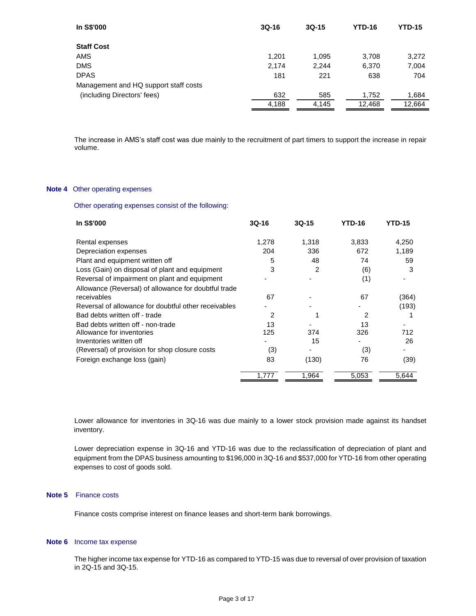| In S\$'000                            | $3Q-16$ | $3Q-15$ | <b>YTD-16</b> | <b>YTD-15</b> |
|---------------------------------------|---------|---------|---------------|---------------|
| <b>Staff Cost</b>                     |         |         |               |               |
| AMS                                   | 1,201   | 1,095   | 3,708         | 3,272         |
| <b>DMS</b>                            | 2,174   | 2,244   | 6,370         | 7,004         |
| <b>DPAS</b>                           | 181     | 221     | 638           | 704           |
| Management and HQ support staff costs |         |         |               |               |
| (including Directors' fees)           | 632     | 585     | 1,752         | 1,684         |
|                                       | 4,188   | 4,145   | 12,468        | 12,664        |
|                                       |         |         |               |               |

The increase in AMS's staff cost was due mainly to the recruitment of part timers to support the increase in repair volume.

#### **Note 4** Other operating expenses

Other operating expenses consist of the following:

| In S\$'000                                           | $3Q-16$ | $3Q-15$ | <b>YTD-16</b> | <b>YTD-15</b> |
|------------------------------------------------------|---------|---------|---------------|---------------|
| Rental expenses                                      | 1,278   | 1,318   | 3,833         | 4,250         |
| Depreciation expenses                                | 204     | 336     | 672           | 1,189         |
| Plant and equipment written off                      | 5       | 48      | 74            | 59            |
| Loss (Gain) on disposal of plant and equipment       | 3       | 2       | (6)           | 3             |
| Reversal of impairment on plant and equipment        |         |         | (1)           |               |
| Allowance (Reversal) of allowance for doubtful trade |         |         |               |               |
| receivables                                          | 67      |         | 67            | (364)         |
| Reversal of allowance for doubtful other receivables |         |         |               | (193)         |
| Bad debts written off - trade                        | 2       |         | 2             |               |
| Bad debts written off - non-trade                    | 13      |         | 13            |               |
| Allowance for inventories                            | 125     | 374     | 326           | 712           |
| Inventories written off                              |         | 15      |               | 26            |
| (Reversal) of provision for shop closure costs       | (3)     |         | (3)           |               |
| Foreign exchange loss (gain)                         | 83      | (130)   | 76            | (39)          |
|                                                      | 1.777   | 1,964   | 5,053         | 5,644         |

Lower allowance for inventories in 3Q-16 was due mainly to a lower stock provision made against its handset inventory.

Lower depreciation expense in 3Q-16 and YTD-16 was due to the reclassification of depreciation of plant and equipment from the DPAS business amounting to \$196,000 in 3Q-16 and \$537,000 for YTD-16 from other operating expenses to cost of goods sold.

#### **Note 5** Finance costs

Finance costs comprise interest on finance leases and short-term bank borrowings.

#### **Note 6** Income tax expense

The higher income tax expense for YTD-16 as compared to YTD-15 was due to reversal of over provision of taxation in 2Q-15 and 3Q-15.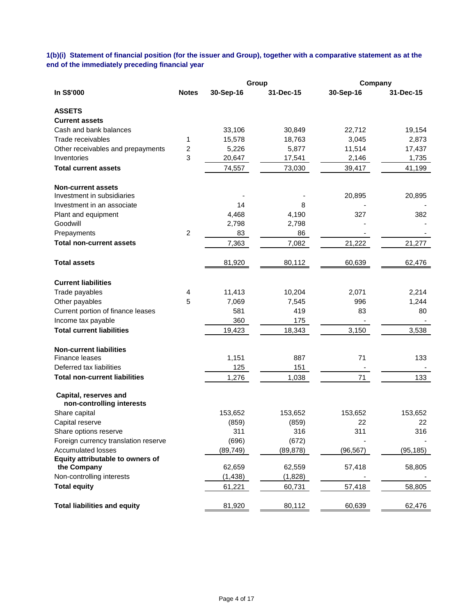# **1(b)(i) Statement of financial position (for the issuer and Group), together with a comparative statement as at the end of the immediately preceding financial year**

|                                                         |                |           | Group     | Company   |           |
|---------------------------------------------------------|----------------|-----------|-----------|-----------|-----------|
| In S\$'000                                              | <b>Notes</b>   | 30-Sep-16 | 31-Dec-15 | 30-Sep-16 | 31-Dec-15 |
| <b>ASSETS</b>                                           |                |           |           |           |           |
| <b>Current assets</b>                                   |                |           |           |           |           |
| Cash and bank balances                                  |                | 33,106    | 30,849    | 22,712    | 19,154    |
| Trade receivables                                       | 1              | 15,578    | 18,763    | 3,045     | 2,873     |
| Other receivables and prepayments                       | 2              | 5,226     | 5,877     | 11,514    | 17,437    |
| Inventories                                             | 3              | 20,647    | 17,541    | 2,146     | 1,735     |
| <b>Total current assets</b>                             |                | 74,557    | 73,030    | 39,417    | 41,199    |
| <b>Non-current assets</b><br>Investment in subsidiaries |                |           |           | 20,895    | 20,895    |
| Investment in an associate                              |                | 14        | 8         |           |           |
| Plant and equipment                                     |                | 4,468     | 4,190     | 327       | 382       |
| Goodwill                                                |                | 2,798     | 2,798     |           |           |
| Prepayments                                             | $\overline{c}$ | 83        | 86        |           |           |
| <b>Total non-current assets</b>                         |                | 7,363     | 7,082     | 21,222    | 21,277    |
| <b>Total assets</b>                                     |                | 81,920    | 80,112    | 60,639    | 62,476    |
| <b>Current liabilities</b>                              |                |           |           |           |           |
| Trade payables                                          | 4              | 11,413    | 10,204    | 2,071     | 2,214     |
| Other payables                                          | 5              | 7,069     | 7,545     | 996       | 1,244     |
| Current portion of finance leases                       |                | 581       | 419       | 83        | 80        |
| Income tax payable                                      |                | 360       | 175       |           |           |
| <b>Total current liabilities</b>                        |                | 19,423    | 18,343    | 3,150     | 3,538     |
| <b>Non-current liabilities</b>                          |                |           |           |           |           |
| <b>Finance leases</b>                                   |                | 1,151     | 887       | 71        | 133       |
| Deferred tax liabilities                                |                | 125       | 151       |           |           |
| <b>Total non-current liabilities</b>                    |                | 1,276     | 1,038     | 71        | 133       |
| Capital, reserves and<br>non-controlling interests      |                |           |           |           |           |
| Share capital                                           |                | 153,652   | 153,652   | 153,652   | 153,652   |
| Capital reserve                                         |                | (859)     | (859)     | 22        | 22        |
| Share options reserve                                   |                | 311       | 316       | 311       | 316       |
| Foreign currency translation reserve                    |                | (696)     | (672)     |           |           |
| <b>Accumulated losses</b>                               |                | (89, 749) | (89, 878) | (96, 567) | (95, 185) |
| Equity attributable to owners of                        |                |           |           |           |           |
| the Company                                             |                | 62,659    | 62,559    | 57,418    | 58,805    |
| Non-controlling interests                               |                | (1, 438)  | (1,828)   |           |           |
| <b>Total equity</b>                                     |                | 61,221    | 60,731    | 57,418    | 58,805    |
| <b>Total liabilities and equity</b>                     |                | 81,920    | 80,112    | 60,639    | 62,476    |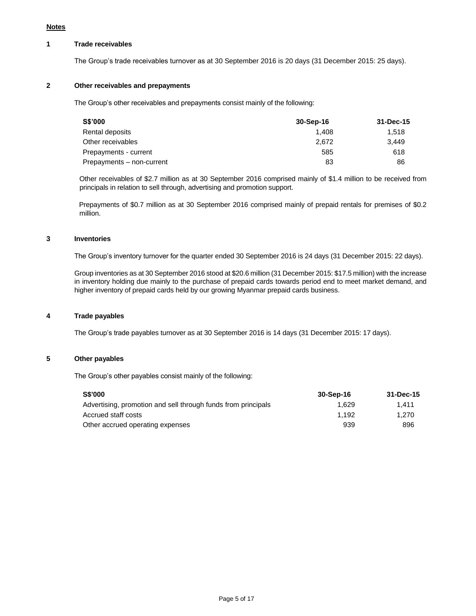# **1 Trade receivables**

The Group's trade receivables turnover as at 30 September 2016 is 20 days (31 December 2015: 25 days).

# **2 Other receivables and prepayments**

The Group's other receivables and prepayments consist mainly of the following:

| S\$'000                   | 30-Sep-16 | 31-Dec-15 |
|---------------------------|-----------|-----------|
| Rental deposits           | 1.408     | 1.518     |
| Other receivables         | 2.672     | 3.449     |
| Prepayments - current     | 585       | 618       |
| Prepayments - non-current | 83        | 86        |

Other receivables of \$2.7 million as at 30 September 2016 comprised mainly of \$1.4 million to be received from principals in relation to sell through, advertising and promotion support.

Prepayments of \$0.7 million as at 30 September 2016 comprised mainly of prepaid rentals for premises of \$0.2 million.

## **3 Inventories**

The Group's inventory turnover for the quarter ended 30 September 2016 is 24 days (31 December 2015: 22 days).

Group inventories as at 30 September 2016 stood at \$20.6 million (31 December 2015: \$17.5 million) with the increase in inventory holding due mainly to the purchase of prepaid cards towards period end to meet market demand, and higher inventory of prepaid cards held by our growing Myanmar prepaid cards business.

#### **4 Trade payables**

The Group's trade payables turnover as at 30 September 2016 is 14 days (31 December 2015: 17 days).

### **5 Other payables**

The Group's other payables consist mainly of the following:

| <b>S\$'000</b>                                                | 30-Sep-16 | 31-Dec-15 |
|---------------------------------------------------------------|-----------|-----------|
| Advertising, promotion and sell through funds from principals | 1.629     | 1.411     |
| Accrued staff costs                                           | 1.192     | 1.270     |
| Other accrued operating expenses                              | 939       | 896       |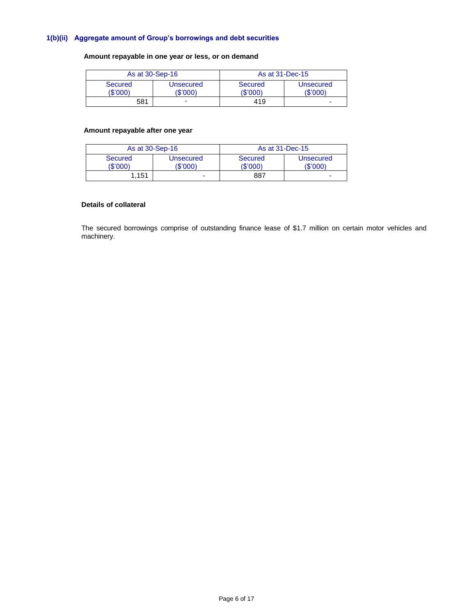## **1(b)(ii) Aggregate amount of Group's borrowings and debt securities**

# **Amount repayable in one year or less, or on demand**

|                            | As at 30-Sep-16       |                            | As at 31-Dec-15          |
|----------------------------|-----------------------|----------------------------|--------------------------|
| <b>Secured</b><br>(\$'000) | Unsecured<br>(\$'000) | <b>Secured</b><br>(\$'000) | Unsecured<br>(\$'000)    |
| 581                        | ۰                     | 419                        | $\overline{\phantom{0}}$ |

## **Amount repayable after one year**

| As at 30-Sep-16     |                       |                     | As at 31-Dec-15       |
|---------------------|-----------------------|---------------------|-----------------------|
| Secured<br>(\$'000) | Unsecured<br>(\$'000) | Secured<br>(\$'000) | Unsecured<br>(\$'000) |
| 1.151               | -                     | 887                 | -                     |

# **Details of collateral**

The secured borrowings comprise of outstanding finance lease of \$1.7 million on certain motor vehicles and machinery.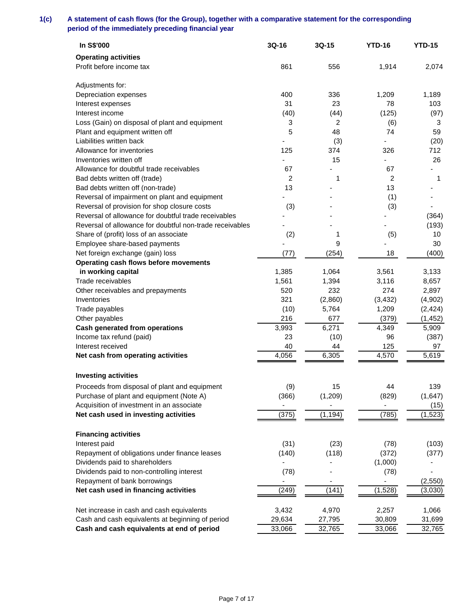# **1(c) A statement of cash flows (for the Group), together with a comparative statement for the corresponding period of the immediately preceding financial year**

| In S\$'000                                               | 3Q-16                    | 3Q-15    | <b>YTD-16</b> | <b>YTD-15</b> |
|----------------------------------------------------------|--------------------------|----------|---------------|---------------|
| <b>Operating activities</b>                              |                          |          |               |               |
| Profit before income tax                                 | 861                      | 556      | 1,914         | 2,074         |
| Adjustments for:                                         |                          |          |               |               |
| Depreciation expenses                                    | 400                      | 336      | 1,209         | 1,189         |
| Interest expenses                                        | 31                       | 23       | 78            | 103           |
| Interest income                                          | (40)                     | (44)     | (125)         | (97)          |
| Loss (Gain) on disposal of plant and equipment           | 3                        | 2        | (6)           | 3             |
| Plant and equipment written off                          | 5                        | 48       | 74            | 59            |
| Liabilities written back                                 |                          | (3)      | ٠             | (20)          |
| Allowance for inventories                                | 125                      | 374      | 326           | 712           |
| Inventories written off                                  |                          | 15       | ÷,            | 26            |
| Allowance for doubtful trade receivables                 | 67                       |          | 67            |               |
| Bad debts written off (trade)                            | 2                        | 1        | 2             | 1             |
| Bad debts written off (non-trade)                        | 13                       |          | 13            |               |
| Reversal of impairment on plant and equipment            |                          |          | (1)           |               |
| Reversal of provision for shop closure costs             | (3)                      |          | (3)           |               |
| Reversal of allowance for doubtful trade receivables     |                          |          |               | (364)         |
| Reversal of allowance for doubtful non-trade receivables |                          |          |               | (193)         |
| Share of (profit) loss of an associate                   | (2)                      | 1        | (5)           | 10            |
| Employee share-based payments                            |                          | 9        |               | 30            |
| Net foreign exchange (gain) loss                         | (77)                     | (254)    | 18            | (400)         |
| Operating cash flows before movements                    |                          |          |               |               |
| in working capital                                       | 1,385                    | 1,064    | 3,561         | 3,133         |
| Trade receivables                                        | 1,561                    | 1,394    | 3,116         | 8,657         |
| Other receivables and prepayments                        | 520                      | 232      | 274           | 2,897         |
| Inventories                                              | 321                      | (2,860)  | (3, 432)      | (4,902)       |
| Trade payables                                           | (10)                     | 5,764    | 1,209         | (2, 424)      |
| Other payables                                           | 216                      | 677      | (379)         | (1, 452)      |
| <b>Cash generated from operations</b>                    | 3,993                    | 6,271    | 4,349         | 5,909         |
| Income tax refund (paid)                                 | 23                       | (10)     | 96            | (387)         |
| Interest received                                        | 40                       | 44       | 125           | 97            |
| Net cash from operating activities                       | 4,056                    | 6,305    | 4,570         | 5,619         |
| <b>Investing activities</b>                              |                          |          |               |               |
| Proceeds from disposal of plant and equipment            | (9)                      | 15       | 44            | 139           |
| Purchase of plant and equipment (Note A)                 | (366)                    | (1, 209) | (829)         | (1,647)       |
| Acquisition of investment in an associate                |                          |          |               | (15)          |
| Net cash used in investing activities                    | (375)                    | (1, 194) | (785)         | (1, 523)      |
| <b>Financing activities</b>                              |                          |          |               |               |
| Interest paid                                            | (31)                     | (23)     | (78)          | (103)         |
| Repayment of obligations under finance leases            | (140)                    | (118)    | (372)         | (377)         |
| Dividends paid to shareholders                           |                          |          | (1,000)       |               |
| Dividends paid to non-controlling interest               | (78)                     |          | (78)          |               |
| Repayment of bank borrowings                             | $\overline{\phantom{0}}$ |          |               | (2,550)       |
| Net cash used in financing activities                    | (249)                    | (141)    | (1,528)       | (3,030)       |
|                                                          |                          |          |               |               |
| Net increase in cash and cash equivalents                | 3,432                    | 4,970    | 2,257         | 1,066         |
| Cash and cash equivalents at beginning of period         | 29,634                   | 27,795   | 30,809        | 31,699        |
| Cash and cash equivalents at end of period               | 33,066                   | 32,765   | 33,066        | 32,765        |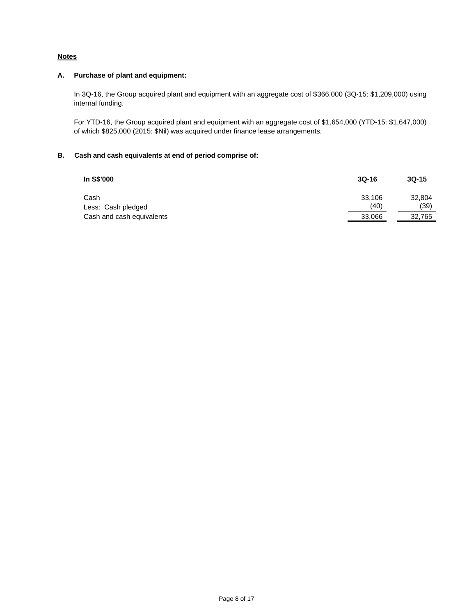# **Notes**

# **A. Purchase of plant and equipment:**

In 3Q-16, the Group acquired plant and equipment with an aggregate cost of \$366,000 (3Q-15: \$1,209,000) using internal funding.

For YTD-16, the Group acquired plant and equipment with an aggregate cost of \$1,654,000 (YTD-15: \$1,647,000) of which \$825,000 (2015: \$Nil) was acquired under finance lease arrangements.

# **B. Cash and cash equivalents at end of period comprise of:**

| In S\$'000                 | $3Q-16$        | $3Q-15$        |
|----------------------------|----------------|----------------|
| Cash<br>Less: Cash pledged | 33.106<br>(40) | 32,804<br>(39) |
| Cash and cash equivalents  | 33,066         | 32,765         |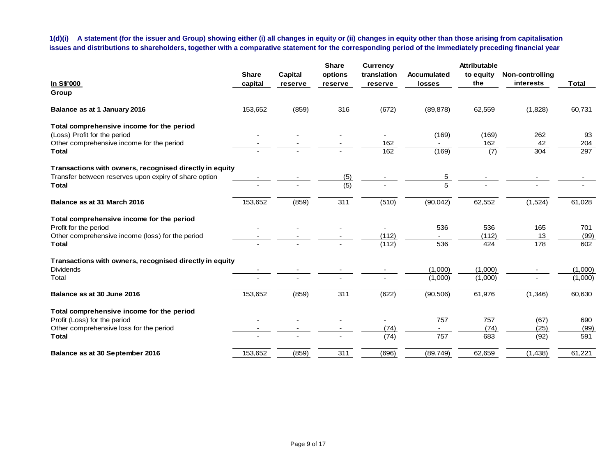**1(d)(i) A statement (for the issuer and Group) showing either (i) all changes in equity or (ii) changes in equity other than those arising from capitalisation issues and distributions to shareholders, together with a comparative statement for the corresponding period of the immediately preceding financial year**

|                                                         |              |                | <b>Share</b> | <b>Currency</b> |                    | <b>Attributable</b> |                 |              |
|---------------------------------------------------------|--------------|----------------|--------------|-----------------|--------------------|---------------------|-----------------|--------------|
|                                                         | <b>Share</b> | <b>Capital</b> | options      | translation     | <b>Accumulated</b> | to equity<br>the    | Non-controlling |              |
| In S\$'000                                              | capital      | reserve        | reserve      | reserve         | losses             |                     | interests       | <b>Total</b> |
| Group                                                   |              |                |              |                 |                    |                     |                 |              |
| Balance as at 1 January 2016                            | 153,652      | (859)          | 316          | (672)           | (89, 878)          | 62,559              | (1,828)         | 60,731       |
| Total comprehensive income for the period               |              |                |              |                 |                    |                     |                 |              |
| (Loss) Profit for the period                            |              |                |              |                 | (169)              | (169)               | 262             | 93           |
| Other comprehensive income for the period               |              |                |              | 162             |                    | 162                 | 42              | 204          |
| <b>Total</b>                                            |              |                |              | 162             | (169)              | (7)                 | 304             | 297          |
| Transactions with owners, recognised directly in equity |              |                |              |                 |                    |                     |                 |              |
| Transfer between reserves upon expiry of share option   |              |                | (5)          |                 | $\overline{5}$     |                     |                 |              |
| <b>Total</b>                                            |              |                | (5)          |                 | $\overline{5}$     |                     |                 |              |
| Balance as at 31 March 2016                             | 153,652      | (859)          | 311          | (510)           | (90, 042)          | 62,552              | (1,524)         | 61,028       |
| Total comprehensive income for the period               |              |                |              |                 |                    |                     |                 |              |
| Profit for the period                                   |              |                |              |                 | 536                | 536                 | 165             | 701          |
| Other comprehensive income (loss) for the period        |              |                |              | (112)           |                    | (112)               | 13              | (99)         |
| <b>Total</b>                                            |              |                |              | (112)           | 536                | 424                 | 178             | 602          |
| Transactions with owners, recognised directly in equity |              |                |              |                 |                    |                     |                 |              |
| <b>Dividends</b>                                        |              |                |              |                 | (1,000)            | (1,000)             |                 | (1,000)      |
| Total                                                   |              |                |              |                 | (1,000)            | (1,000)             |                 | (1,000)      |
| Balance as at 30 June 2016                              | 153,652      | (859)          | 311          | (622)           | (90, 506)          | 61,976              | (1, 346)        | 60,630       |
| Total comprehensive income for the period               |              |                |              |                 |                    |                     |                 |              |
| Profit (Loss) for the period                            |              |                |              |                 | 757                | 757                 | (67)            | 690          |
| Other comprehensive loss for the period                 |              |                |              | (74)            | $\sim$             | (74)                | (25)            | (99)         |
| <b>Total</b>                                            |              |                |              | (74)            | 757                | 683                 | (92)            | 591          |
| Balance as at 30 September 2016                         | 153,652      | (859)          | 311          | (696)           | (89, 749)          | 62,659              | (1, 438)        | 61,221       |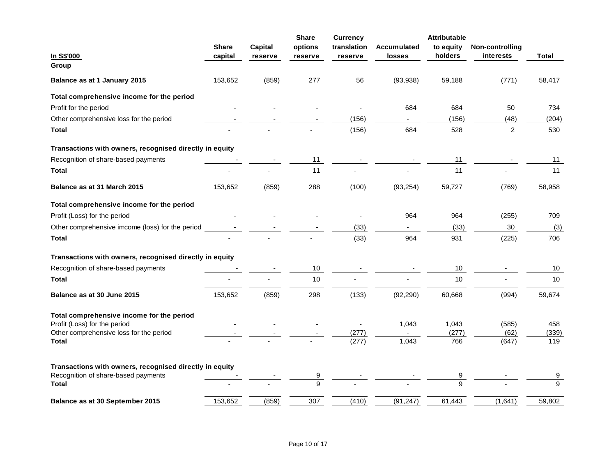|                                                         |              |         | <b>Share</b> | <b>Currency</b> |                    | <b>Attributable</b> |                 |              |
|---------------------------------------------------------|--------------|---------|--------------|-----------------|--------------------|---------------------|-----------------|--------------|
|                                                         | <b>Share</b> | Capital | options      | translation     | <b>Accumulated</b> | to equity           | Non-controlling |              |
| In S\$'000                                              | capital      | reserve | reserve      | reserve         | losses             | holders             | interests       | Total        |
| Group                                                   |              |         |              |                 |                    |                     |                 |              |
| Balance as at 1 January 2015                            | 153,652      | (859)   | 277          | 56              | (93, 938)          | 59,188              | (771)           | 58,417       |
| Total comprehensive income for the period               |              |         |              |                 |                    |                     |                 |              |
| Profit for the period                                   |              |         |              |                 | 684                | 684                 | 50              | 734          |
| Other comprehensive loss for the period                 |              |         |              | (156)           | $\blacksquare$     | (156)               | (48)            | (204)        |
| <b>Total</b>                                            |              |         |              | (156)           | 684                | 528                 | 2               | 530          |
| Transactions with owners, recognised directly in equity |              |         |              |                 |                    |                     |                 |              |
| Recognition of share-based payments                     |              |         | 11           |                 |                    | 11                  |                 | 11           |
| <b>Total</b>                                            |              |         | 11           |                 |                    | 11                  |                 | 11           |
| Balance as at 31 March 2015                             | 153,652      | (859)   | 288          | (100)           | (93, 254)          | 59,727              | (769)           | 58,958       |
| Total comprehensive income for the period               |              |         |              |                 |                    |                     |                 |              |
| Profit (Loss) for the period                            |              |         |              |                 | 964                | 964                 | (255)           | 709          |
| Other comprehensive imcome (loss) for the period        |              |         |              | (33)            |                    | (33)                | 30              | (3)          |
| <b>Total</b>                                            |              |         |              | (33)            | 964                | 931                 | (225)           | 706          |
| Transactions with owners, recognised directly in equity |              |         |              |                 |                    |                     |                 |              |
| Recognition of share-based payments                     |              |         | 10           |                 |                    | 10                  |                 | 10           |
| Total                                                   |              |         | 10           |                 |                    | 10                  |                 | 10           |
| Balance as at 30 June 2015                              | 153,652      | (859)   | 298          | (133)           | (92, 290)          | 60,668              | (994)           | 59,674       |
| Total comprehensive income for the period               |              |         |              |                 |                    |                     |                 |              |
| Profit (Loss) for the period                            |              |         |              |                 | 1,043              | 1,043               | (585)           | 458          |
| Other comprehensive loss for the period                 |              |         |              | (277)           |                    | (277)               | (62)            | (339)        |
| <b>Total</b>                                            |              |         |              | (277)           | 1,043              | 766                 | (647)           | 119          |
| Transactions with owners, recognised directly in equity |              |         |              |                 |                    |                     |                 |              |
| Recognition of share-based payments                     |              |         |              |                 |                    | 9                   |                 | 9            |
| Total                                                   |              |         | 9            |                 |                    | $\mathsf{Q}$        |                 | $\mathbf{Q}$ |
| Balance as at 30 September 2015                         | 153,652      | (859)   | 307          | (410)           | (91, 247)          | 61,443              | (1,641)         | 59,802       |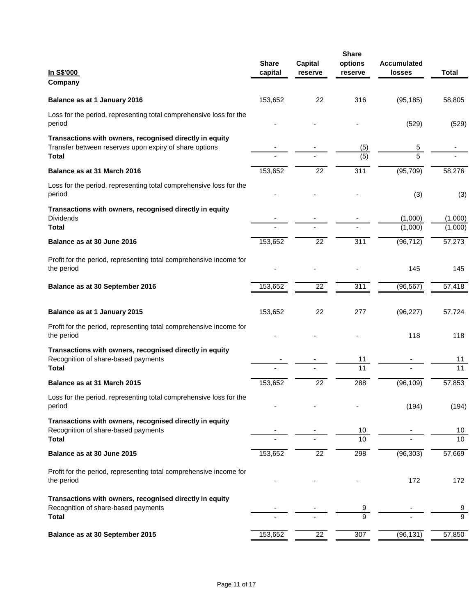| In S\$'000<br>Company                                                                                                             | <b>Share</b><br>capital | Capital<br>reserve | <b>Share</b><br>options<br>reserve | <b>Accumulated</b><br><b>losses</b> | <b>Total</b>          |
|-----------------------------------------------------------------------------------------------------------------------------------|-------------------------|--------------------|------------------------------------|-------------------------------------|-----------------------|
| Balance as at 1 January 2016                                                                                                      | 153,652                 | 22                 | 316                                | (95, 185)                           | 58,805                |
| Loss for the period, representing total comprehensive loss for the<br>period                                                      |                         |                    |                                    | (529)                               | (529)                 |
| Transactions with owners, recognised directly in equity<br>Transfer between reserves upon expiry of share options<br><b>Total</b> |                         |                    | (5)<br>$\overline{(5)}$            | 5<br>$\overline{5}$                 |                       |
|                                                                                                                                   |                         |                    |                                    |                                     |                       |
| Balance as at 31 March 2016                                                                                                       | 153,652                 | 22                 | 311                                | (95, 709)                           | 58,276                |
| Loss for the period, representing total comprehensive loss for the<br>period                                                      |                         |                    |                                    | (3)                                 | (3)                   |
| Transactions with owners, recognised directly in equity<br><b>Dividends</b>                                                       |                         |                    |                                    | (1,000)                             | (1,000)               |
| <b>Total</b>                                                                                                                      |                         |                    |                                    | (1,000)                             | (1,000)               |
| Balance as at 30 June 2016                                                                                                        | 153,652                 | $\overline{22}$    | $\overline{311}$                   | (96, 712)                           | 57,273                |
| Profit for the period, representing total comprehensive income for<br>the period                                                  |                         |                    |                                    | 145                                 | 145                   |
| Balance as at 30 September 2016                                                                                                   | 153,652                 | 22                 | 311                                | (96, 567)                           | 57,418                |
| Balance as at 1 January 2015                                                                                                      | 153,652                 | 22                 | 277                                | (96, 227)                           | 57,724                |
| Profit for the period, representing total comprehensive income for<br>the period                                                  |                         |                    |                                    | 118                                 | 118                   |
| Transactions with owners, recognised directly in equity<br>Recognition of share-based payments<br><b>Total</b>                    |                         |                    | 11<br>11                           |                                     | 11<br>$\overline{11}$ |
| Balance as at 31 March 2015                                                                                                       | 153,652                 | 22                 | 288                                | (96, 109)                           | 57,853                |
| Loss for the period, representing total comprehensive loss for the<br>period                                                      |                         |                    |                                    | (194)                               | (194)                 |
| Transactions with owners, recognised directly in equity<br>Recognition of share-based payments<br><b>Total</b>                    |                         |                    | 10<br>10                           |                                     | 10 <sub>1</sub><br>10 |
| Balance as at 30 June 2015                                                                                                        | 153,652                 | 22                 | 298                                | (96, 303)                           | 57,669                |
| Profit for the period, representing total comprehensive income for<br>the period                                                  |                         |                    |                                    | 172                                 | 172                   |
| Transactions with owners, recognised directly in equity<br>Recognition of share-based payments<br><b>Total</b>                    |                         |                    | $\overline{9}$<br>$\overline{9}$   |                                     | 9<br>$\overline{9}$   |
| Balance as at 30 September 2015                                                                                                   | 153,652                 | 22                 | 307                                | (96, 131)                           | 57,850                |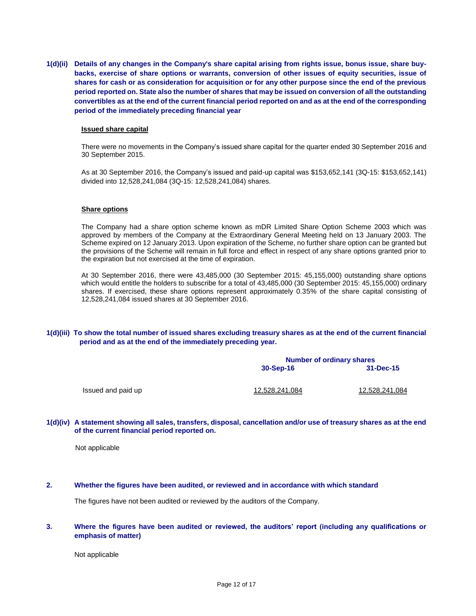**1(d)(ii) Details of any changes in the Company's share capital arising from rights issue, bonus issue, share buybacks, exercise of share options or warrants, conversion of other issues of equity securities, issue of shares for cash or as consideration for acquisition or for any other purpose since the end of the previous period reported on. State also the number of shares that may be issued on conversion of all the outstanding convertibles as at the end of the current financial period reported on and as at the end of the corresponding period of the immediately preceding financial year**

#### **Issued share capital**

There were no movements in the Company's issued share capital for the quarter ended 30 September 2016 and 30 September 2015.

As at 30 September 2016, the Company's issued and paid-up capital was \$153,652,141 (3Q-15: \$153,652,141) divided into 12,528,241,084 (3Q-15: 12,528,241,084) shares.

#### **Share options**

The Company had a share option scheme known as mDR Limited Share Option Scheme 2003 which was approved by members of the Company at the Extraordinary General Meeting held on 13 January 2003. The Scheme expired on 12 January 2013. Upon expiration of the Scheme, no further share option can be granted but the provisions of the Scheme will remain in full force and effect in respect of any share options granted prior to the expiration but not exercised at the time of expiration.

At 30 September 2016, there were 43,485,000 (30 September 2015: 45,155,000) outstanding share options which would entitle the holders to subscribe for a total of 43,485,000 (30 September 2015: 45,155,000) ordinary shares. If exercised, these share options represent approximately 0.35% of the share capital consisting of 12,528,241,084 issued shares at 30 September 2016.

#### **1(d)(iii) To show the total number of issued shares excluding treasury shares as at the end of the current financial period and as at the end of the immediately preceding year.**

|                    | <b>Number of ordinary shares</b> |                |  |
|--------------------|----------------------------------|----------------|--|
|                    | 30-Sep-16                        | $31 - Dec-15$  |  |
| Issued and paid up | 12,528,241,084                   | 12,528,241,084 |  |

#### **1(d)(iv) A statement showing all sales, transfers, disposal, cancellation and/or use of treasury shares as at the end of the current financial period reported on.**

Not applicable

#### **2. Whether the figures have been audited, or reviewed and in accordance with which standard**

The figures have not been audited or reviewed by the auditors of the Company.

#### **3. Where the figures have been audited or reviewed, the auditors' report (including any qualifications or emphasis of matter)**

Not applicable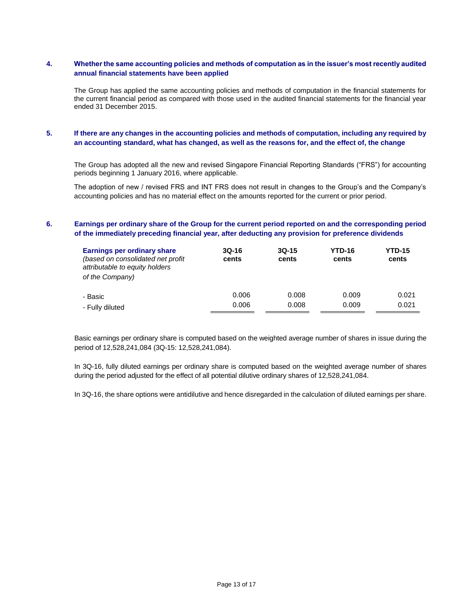## **4. Whether the same accounting policies and methods of computation as in the issuer's most recently audited annual financial statements have been applied**

The Group has applied the same accounting policies and methods of computation in the financial statements for the current financial period as compared with those used in the audited financial statements for the financial year ended 31 December 2015.

# **5. If there are any changes in the accounting policies and methods of computation, including any required by an accounting standard, what has changed, as well as the reasons for, and the effect of, the change**

The Group has adopted all the new and revised Singapore Financial Reporting Standards ("FRS") for accounting periods beginning 1 January 2016, where applicable.

The adoption of new / revised FRS and INT FRS does not result in changes to the Group's and the Company's accounting policies and has no material effect on the amounts reported for the current or prior period.

## **6. Earnings per ordinary share of the Group for the current period reported on and the corresponding period of the immediately preceding financial year, after deducting any provision for preference dividends**

| <b>Earnings per ordinary share</b><br>(based on consolidated net profit<br>attributable to equity holders<br>of the Company) | $3Q-16$<br>cents | $3Q-15$<br>cents | <b>YTD-16</b><br>cents | <b>YTD-15</b><br>cents |
|------------------------------------------------------------------------------------------------------------------------------|------------------|------------------|------------------------|------------------------|
| - Basic                                                                                                                      | 0.006            | 0.008            | 0.009                  | 0.021                  |
| - Fully diluted                                                                                                              | 0.006            | 0.008            | 0.009                  | 0.021                  |

Basic earnings per ordinary share is computed based on the weighted average number of shares in issue during the period of 12,528,241,084 (3Q-15: 12,528,241,084).

In 3Q-16, fully diluted earnings per ordinary share is computed based on the weighted average number of shares during the period adjusted for the effect of all potential dilutive ordinary shares of 12,528,241,084.

In 3Q-16, the share options were antidilutive and hence disregarded in the calculation of diluted earnings per share.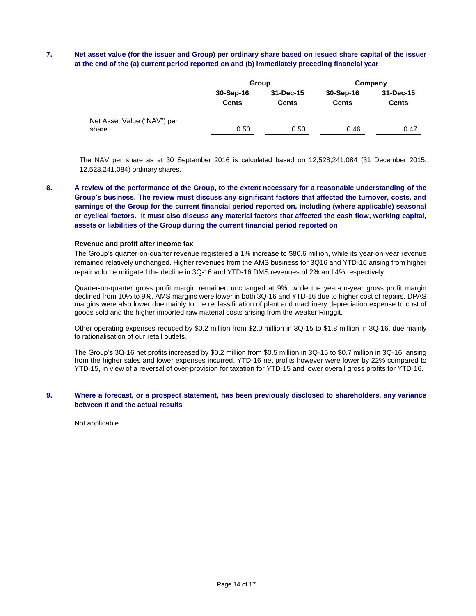# **7. Net asset value (for the issuer and Group) per ordinary share based on issued share capital of the issuer at the end of the (a) current period reported on and (b) immediately preceding financial year**

|                                      |                           | Group                     | Company                   |                           |  |
|--------------------------------------|---------------------------|---------------------------|---------------------------|---------------------------|--|
|                                      | 30-Sep-16<br><b>Cents</b> | 31-Dec-15<br><b>Cents</b> | 30-Sep-16<br><b>Cents</b> | 31-Dec-15<br><b>Cents</b> |  |
| Net Asset Value ("NAV") per<br>share | 0.50                      | 0.50                      | 0.46                      | 0.47                      |  |

The NAV per share as at 30 September 2016 is calculated based on 12,528,241,084 (31 December 2015: 12,528,241,084) ordinary shares.

**8. A review of the performance of the Group, to the extent necessary for a reasonable understanding of the Group's business. The review must discuss any significant factors that affected the turnover, costs, and earnings of the Group for the current financial period reported on, including (where applicable) seasonal or cyclical factors. It must also discuss any material factors that affected the cash flow, working capital, assets or liabilities of the Group during the current financial period reported on**

#### **Revenue and profit after income tax**

The Group's quarter-on-quarter revenue registered a 1% increase to \$80.6 million, while its year-on-year revenue remained relatively unchanged. Higher revenues from the AMS business for 3Q16 and YTD-16 arising from higher repair volume mitigated the decline in 3Q-16 and YTD-16 DMS revenues of 2% and 4% respectively.

Quarter-on-quarter gross profit margin remained unchanged at 9%, while the year-on-year gross profit margin declined from 10% to 9%. AMS margins were lower in both 3Q-16 and YTD-16 due to higher cost of repairs. DPAS margins were also lower due mainly to the reclassification of plant and machinery depreciation expense to cost of goods sold and the higher imported raw material costs arising from the weaker Ringgit.

Other operating expenses reduced by \$0.2 million from \$2.0 million in 3Q-15 to \$1.8 million in 3Q-16, due mainly to rationalisation of our retail outlets.

The Group's 3Q-16 net profits increased by \$0.2 million from \$0.5 million in 3Q-15 to \$0.7 million in 3Q-16, arising from the higher sales and lower expenses incurred. YTD-16 net profits however were lower by 22% compared to YTD-15, in view of a reversal of over-provision for taxation for YTD-15 and lower overall gross profits for YTD-16.

#### **9. Where a forecast, or a prospect statement, has been previously disclosed to shareholders, any variance between it and the actual results**

Not applicable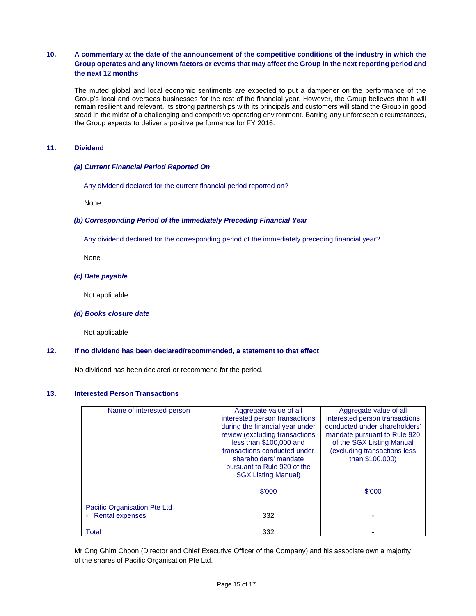# **10. A commentary at the date of the announcement of the competitive conditions of the industry in which the Group operates and any known factors or events that may affect the Group in the next reporting period and the next 12 months**

The muted global and local economic sentiments are expected to put a dampener on the performance of the Group's local and overseas businesses for the rest of the financial year. However, the Group believes that it will remain resilient and relevant. Its strong partnerships with its principals and customers will stand the Group in good stead in the midst of a challenging and competitive operating environment. Barring any unforeseen circumstances, the Group expects to deliver a positive performance for FY 2016.

## **11. Dividend**

## *(a) Current Financial Period Reported On*

Any dividend declared for the current financial period reported on?

None

## *(b) Corresponding Period of the Immediately Preceding Financial Year*

Any dividend declared for the corresponding period of the immediately preceding financial year?

None

#### *(c) Date payable*

Not applicable

#### *(d) Books closure date*

Not applicable

#### **12. If no dividend has been declared/recommended, a statement to that effect**

No dividend has been declared or recommend for the period.

## **13. Interested Person Transactions**

| Name of interested person                         | Aggregate value of all<br>interested person transactions<br>during the financial year under<br>review (excluding transactions<br>less than \$100,000 and<br>transactions conducted under<br>shareholders' mandate<br>pursuant to Rule 920 of the<br><b>SGX Listing Manual)</b> | Aggregate value of all<br>interested person transactions<br>conducted under shareholders'<br>mandate pursuant to Rule 920<br>of the SGX Listing Manual<br>(excluding transactions less<br>than \$100,000) |
|---------------------------------------------------|--------------------------------------------------------------------------------------------------------------------------------------------------------------------------------------------------------------------------------------------------------------------------------|-----------------------------------------------------------------------------------------------------------------------------------------------------------------------------------------------------------|
|                                                   | \$'000                                                                                                                                                                                                                                                                         | \$'000                                                                                                                                                                                                    |
| Pacific Organisation Pte Ltd<br>- Rental expenses | 332                                                                                                                                                                                                                                                                            |                                                                                                                                                                                                           |
| Total                                             | 332                                                                                                                                                                                                                                                                            |                                                                                                                                                                                                           |

Mr Ong Ghim Choon (Director and Chief Executive Officer of the Company) and his associate own a majority of the shares of Pacific Organisation Pte Ltd.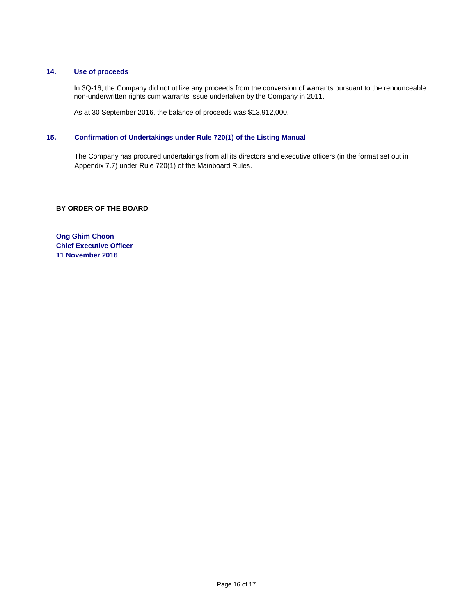## **14. Use of proceeds**

In 3Q-16, the Company did not utilize any proceeds from the conversion of warrants pursuant to the renounceable non-underwritten rights cum warrants issue undertaken by the Company in 2011.

As at 30 September 2016, the balance of proceeds was \$13,912,000.

# **15. Confirmation of Undertakings under Rule 720(1) of the Listing Manual**

The Company has procured undertakings from all its directors and executive officers (in the format set out in Appendix 7.7) under Rule 720(1) of the Mainboard Rules.

# **BY ORDER OF THE BOARD**

**Ong Ghim Choon Chief Executive Officer 11 November 2016**